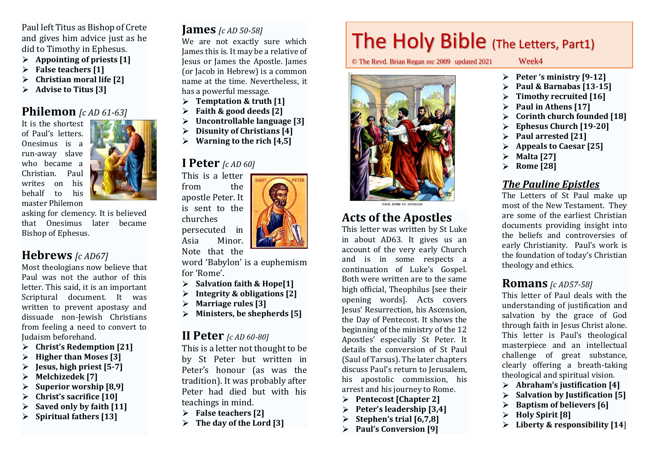Paul left Titus as Bishop of Crete and gives him advice just as he did to Timothy in Ephesus.

- **Appointing of priests [1]**
- **False teachers [1]**  $\blacktriangleright$
- **Christian moral life [2]**  $\blacktriangleright$
- **Advise to Titus [3]** ⋗

#### **Philemon** *[c AD 61-63]*

It is the shortest of Paul's letters. Onesimus is a run-away slave who became a Christian. Paul writes on his behalf to his master Philemon



asking for clemency. It is believed that Onesimus later became Bishop of Ephesus.

# **Hebrews** *[c AD67]*

Most theologians now believe that Paul was not the author of this letter. This said, it is an important Scriptural document. It was written to prevent apostasy and dissuade non-Jewish Christians from feeling a need to convert to Judaism beforehand.

- **Christ's Redemption [21]**
- **Higher than Moses [3]**  $\blacktriangleright$
- $\blacktriangleright$ **Jesus, high priest [5-7]**
- **Melchizedek [7]**  ⋗
- **Superior worship [8,9]** ≻
- **Christ's sacrifice [10]**  $\blacktriangleright$
- **Saved only by faith [11]**  $\blacktriangleright$
- **Spiritual fathers [13]**

#### **James** *[c AD 50-58]*

We are not exactly sure which James this is. It may be a relative of Jesus or James the Apostle. James (or Jacob in Hebrew) is a common name at the time. Nevertheless, it has a powerful message.

- **Temptation & truth [1]**
- **Faith & good deeds [2]** ➤
- $\blacktriangleright$ **Uncontrollable language [3]**
- $\blacktriangleright$ **Disunity of Christians [4]**
- $\blacktriangleright$ **Warning to the rich [4,5]**

#### **I Peter** *[c AD 60]*

This is a letter from the apostle Peter. It is sent to the churches persecuted in Asia Minor.

Note that the

word 'Babylon' is a euphemism for 'Rome'.

- **Salvation faith & Hope[1]**  $\blacktriangleright$
- **Integrity & obligations [2]**
- **Marriage rules [3]**
- **Ministers, be shepherds [5]**

#### **II Peter** *[c AD 60-80]*

This is a letter not thought to be by St Peter but written in Peter's honour (as was the tradition). It was probably after Peter had died but with his teachings in mind.

- **False teachers [2]**
- **The day of the Lord [3]**

# The Holy Bible (The Letters, Part1)

© The Revd. Brian Regan *ssc* 2009 updated 2021 Week4



# **Acts of the Apostles**

This letter was written by St Luke in about AD63. It gives us an account of the very [early Church](http://en.wikipedia.org/wiki/Early_Christianity) and is in some respects a continuation of Luke's Gospel. Both were written are to the same high official, Theophilus [see their opening words]. Acts covers Jesus' Resurrection, his [Ascension,](http://en.wikipedia.org/wiki/Ascension_of_Jesus_Christ)  the [Day of Pentecost.](http://en.wikipedia.org/wiki/Pentecost) It shows the beginning of the ministry of the 12 Apostles' especially St Peter. It details the conversion of St Paul (Saul of Tarsus). The later chapters discuss Paul's return to Jerusalem, his apostolic commission, his arrest and his journey t[o Rome.](http://en.wikipedia.org/wiki/Rome)

- **Pentecost [Chapter 2]**  $\triangleright$
- **Peter's leadership [3,4]**  $\blacktriangleright$
- **Stephen's trial [6,7,8]** ≻
- **Paul's Conversion [9]**  $\blacktriangleright$

- **Peter 's ministry [9-12]**
- **Paul & Barnabas [13-15]**
- **Timothy recruited [16]** ➤
- **Paul in Athens [17]**  $\blacktriangleright$
- **Corinth church founded [18]**
- $\blacktriangleright$ **Ephesus Church [19-20]**
- **Paul arrested [21]**
- **Appeals to Caesar [25]**
- $\blacktriangleright$ **Malta [27]**
- **Rome [28]** ➤

#### *The Pauline Epistles*

The Letters of St Paul make up most of the New Testament. They are some of the earliest Christian documents providing insight into the beliefs and controversies of early [Christianity.](http://en.wikipedia.org/wiki/Christianity) Paul's work is the foundation of today's Christian theology and ethics.

#### **Romans** *[c AD57-58]*

This letter of Paul deals with the understanding of justification and salvation by the grace of God through faith in Jesus Christ alone. This letter is Paul's theological masterpiece and an intellectual challenge of great substance, clearly offering a breath-taking theological and spiritual vision.

- **Abraham's justification [4]**
- **Salvation by Justification [5]** ⋗
- **Baptism of believers [6]**
- **Holy Spirit [8]**  $\blacktriangleright$
- **Liberty & responsibility [14**]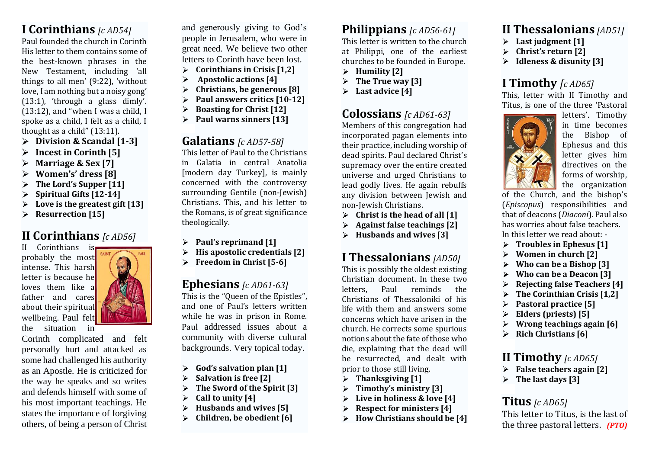# **I Corinthians** *[c AD54]*

Paul founded the church in Corinth His letter to them contains some of the best-known phrases in the New Testament, including 'all things to all men' (9:22), 'without love, I am nothing but a noisy gong' (13:1), 'through a glass dimly'. (13:12), and "when I was a child, I spoke as a child, I felt as a child, I thought as a child" (13:11).

- **Division & Scandal [1-3]**
- ➤ **Incest in Corinth [5]**
- **Marriage & Sex [7]** ➤
- **Women's' dress [8]**  $\blacktriangleright$
- **The Lord's Supper [11]**
- **Spiritual Gifts [12-14]**  $\triangleright$
- **Love is the greatest gift [13]**  $\blacktriangleright$
- **Resurrection [15]**  $\blacktriangleright$

# **II Corinthians** *[c AD56]*

II Corinthians probably the most intense. This harsh letter is because he loves them like a father and cares about their spiritual wellbeing. Paul felt the situation in



Corinth complicated and felt personally hurt and attacked as some had challenged his authority as an Apostle. He is criticized for the way he speaks and so writes and defends himself with some of his most important teachings. He states the importance of forgiving others, of being a person of Christ

and generously giving to God's people in Jerusalem, who were in great need. We believe two other letters to Corinth have been lost.

- $\triangleright$ **Corinthians in Crisis [1,2]**
- **Apostolic actions [4]**  $\blacktriangleright$
- **Christians, be generous [8]** ⋗
- **Paul answers critics [10-12]** ➤
- **Boasting for Christ [12]**  $\blacktriangleright$
- **Paul warns sinners [13]** ⋗

#### **Galatians** *[c AD57-58]*

This letter of Paul to the Christians in Galatia in central Anatolia [modern day Turkey], is mainly concerned with the controversy surrounding Gentile (non-Jewish) Christians. This, and his letter to the Romans, is of great significance theologically.

- **Paul's reprimand [1]**
- **His apostolic credentials [2]** ⋗
- $\blacktriangleright$ **Freedom in Christ [5-6]**

### **Ephesians** *[c AD61-63]*

This is the "Queen of the Epistles", and one of Paul's letters written while he was in prison in Rome. Paul addressed issues about a community with diverse cultural backgrounds. Very topical today.

- **God's salvation plan [1]**  $\blacktriangleright$
- $\blacktriangleright$ **Salvation is free [2]**
- $\blacktriangleright$ **The Sword of the Spirit [3]**
- **Call to unity [4]**
- **Husbands and wives [5]**  $\blacktriangleright$
- **Children, be obedient [6]**  $\blacktriangleright$

# **Philippians** *[c AD56-61]*

This letter is written to the church at Philippi, one of the earliest churches to be founded in Europe.

- **Humility [2]**
- **The True way [3]**  $\blacktriangleright$
- **Last advice [4]**  $\blacktriangleright$

# **Colossians** *[c AD61-63]*

Members of this congregation had incorporated pagan elements into their practice, including worship of dead spirits. Paul declared Christ's supremacy over the entire created universe and urged Christians to lead godly lives. He again rebuffs any division between Jewish and non-Jewish Christians.

- **Christ is the head of all [1]** ≻
- $\blacktriangleright$ **Against false teachings [2]**
- $\blacktriangleright$ **Husbands and wives [3]**

# **I Thessalonians** *[AD50]*

This is possibly the oldest existing Christian document. In these two letters, Paul reminds the Christians of Thessaloniki of his life with them and answers some concerns which have arisen in the church. He corrects some spurious notions about the fate of those who die, explaining that the dead will be resurrected, and dealt with prior to those still living.

- **Thanksgiving [1]**  $\triangleright$
- $\blacktriangleright$ **Timothy's ministry [3]**
- $\blacktriangleright$ **Live in holiness & love [4]**
- $\blacktriangleright$ **Respect for ministers [4]**
- **How Christians should be [4]**  $\blacktriangleright$

# **II Thessalonians** *[AD51]*

- **Last judgment [1]**
- **Christ's return [2]**
- **Idleness & disunity [3]** ➤

# **I Timothy** *[c AD65]*

This, letter with II Timothy and Titus, is one of the three 'Pastoral



letters'. Timothy in time becomes the Bishop of Ephesus and this letter gives him directives on the forms of worship, the organization

of the Church, and the bishop's (*Episcopus*) responsibilities and that of deacons (*Diaconi*). Paul also has worries about false teachers. In this letter we read about: -

- **Troubles in Ephesus [1]**
- **Women in church [2]** ⋗
- **Who can be a Bishop [3]**   $\blacktriangleright$
- **Who can be a Deacon [3]**  $\blacktriangleright$
- **Rejecting false Teachers [4]**
- **The Corinthian Crisis [1,2]**
- **Pastoral practice [5]**  $\blacktriangleright$
- **Elders (priests) [5]**
- **Wrong teachings again [6]** ⋗
- **Rich Christians [6]**

### **II Timothy** *[c AD65]*

- **False teachers again [2]**
- **The last days [3]**

# **Titus** *[c AD65]*

This letter to Titus, is the last of the three pastoral letters. *(PTO)*